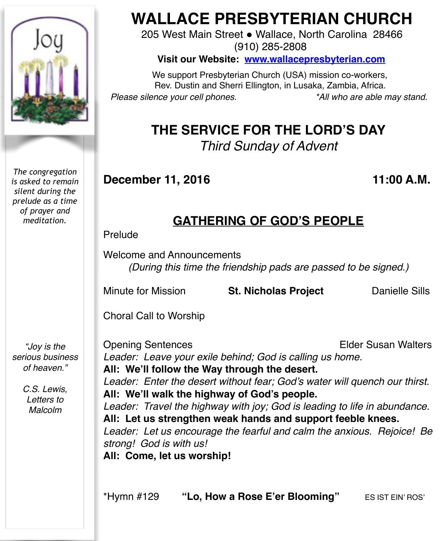

*The congregation is asked to remain silent during the prelude as a time of prayer and meditation.*

*"Joy is the serious business of heaven."*

> *C.S. Lewis, Letters to Malcolm*

# **WALLACE PRESBYTERIAN CHURCH**

205 West Main Street . Wallace, North Carolina 28466 (910) 285-2808

**Visit our Website: [www.wallacepresbyterian.com](http://www.wallacepresbyterian.com)**

 We support Presbyterian Church (USA) mission co-workers, Rev. Dustin and Sherri Ellington, in Lusaka, Zambia, Africa. *Please silence your cell phones. \*All who are able may stand.*

## **THE SERVICE FOR THE LORD'S DAY** *Third Sunday of Advent*

### **December 11, 2016 11:00 A.M.**

# **GATHERING OF GOD'S PEOPLE**

Prelude

Welcome and Announcements *(During this time the friendship pads are passed to be signed.)*

Minute for Mission **St. Nicholas Project** Danielle Sills

Choral Call to Worship

Opening Sentences **Elder Susan Walters** *Leader: Leave your exile behind; God is calling us home.* **All: We'll follow the Way through the desert.** *Leader: Enter the desert without fear; God's water will quench our thirst.* **All: We'll walk the highway of God's people.** *Leader: Travel the highway with joy; God is leading to life in abundance.* **All: Let us strengthen weak hands and support feeble knees.** *Leader: Let us encourage the fearful and calm the anxious. Rejoice! Be strong! God is with us!* **All: Come, let us worship!**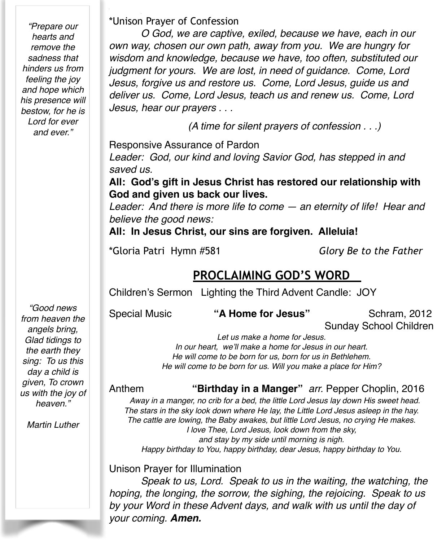*"Prepare our hearts and remove the sadness that hinders us from feeling the joy and hope which his presence will bestow, for he is Lord for ever and ever."*

\*Unison Prayer of Confession

*O God, we are captive, exiled, because we have, each in our own way, chosen our own path, away from you. We are hungry for wisdom and knowledge, because we have, too often, substituted our judgment for yours. We are lost, in need of guidance. Come, Lord Jesus, forgive us and restore us. Come, Lord Jesus, guide us and deliver us. Come, Lord Jesus, teach us and renew us. Come, Lord Jesus, hear our prayers . . .*

 *(A time for silent prayers of confession . . .)*

Responsive Assurance of Pardon

*Leader: God, our kind and loving Savior God, has stepped in and saved us.*

**All: God's gift in Jesus Christ has restored our relationship with God and given us back our lives.**

*Leader: And there is more life to come — an eternity of life! Hear and believe the good news:*

**All: In Jesus Christ, our sins are forgiven. Alleluia!**

\*Gloria Patri Hymn #581 *Glory Be to the Father*

### **PROCLAIMING GOD'S WORD**

Children's Sermon Lighting the Third Advent Candle: JOY

Special Music **"A Home for Jesus"** Schram, 2012

Sunday School Children

*Let us make a home for Jesus. In our heart, we'll make a home for Jesus in our heart. He will come to be born for us, born for us in Bethlehem. He will come to be born for us. Will you make a place for Him?*

#### Anthem **"Birthday in a Manger"** *arr.* Pepper Choplin, 2016

*Away in a manger, no crib for a bed, the little Lord Jesus lay down His sweet head. The stars in the sky look down where He lay, the Little Lord Jesus asleep in the hay. The cattle are lowing, the Baby awakes, but little Lord Jesus, no crying He makes. I love Thee, Lord Jesus, look down from the sky, and stay by my side until morning is nigh. Happy birthday to You, happy birthday, dear Jesus, happy birthday to You.*

Unison Prayer for Illumination

*Speak to us, Lord. Speak to us in the waiting, the watching, the hoping, the longing, the sorrow, the sighing, the rejoicing. Speak to us by your Word in these Advent days, and walk with us until the day of your coming. Amen.*

*"Good news from heaven the angels bring, Glad tidings to the earth they sing: To us this day a child is given, To crown us with the joy of heaven."*

*Martin Luther*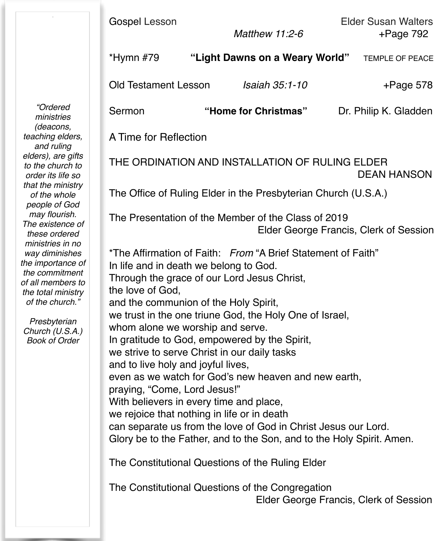| "Ordered<br>ministries<br>(deacons,<br>teaching elders,<br>and ruling<br>elders), are gifts<br>to the church to<br>order its life so<br>that the ministry<br>of the whole<br>people of God<br>may flourish.<br>The existence of<br>these ordered<br>ministries in no<br>way diminishes<br>the importance of<br>the commitment<br>of all members to<br>the total ministry<br>of the church."<br>Presbyterian<br>Church (U.S.A.)<br><b>Book of Order</b> | Gospel Lesson                                                                                                                                                                                                                                                                                                                                                                                                                                                                                                                                                                                                                                                                                                                                                                                                                                                                                                                           | Matthew 11:2-6                 | <b>Elder Susan Walters</b><br>$+Page 792$ |  |
|--------------------------------------------------------------------------------------------------------------------------------------------------------------------------------------------------------------------------------------------------------------------------------------------------------------------------------------------------------------------------------------------------------------------------------------------------------|-----------------------------------------------------------------------------------------------------------------------------------------------------------------------------------------------------------------------------------------------------------------------------------------------------------------------------------------------------------------------------------------------------------------------------------------------------------------------------------------------------------------------------------------------------------------------------------------------------------------------------------------------------------------------------------------------------------------------------------------------------------------------------------------------------------------------------------------------------------------------------------------------------------------------------------------|--------------------------------|-------------------------------------------|--|
|                                                                                                                                                                                                                                                                                                                                                                                                                                                        | *Hymn #79                                                                                                                                                                                                                                                                                                                                                                                                                                                                                                                                                                                                                                                                                                                                                                                                                                                                                                                               | "Light Dawns on a Weary World" | TEMPLE OF PEACE                           |  |
|                                                                                                                                                                                                                                                                                                                                                                                                                                                        | <b>Old Testament Lesson</b>                                                                                                                                                                                                                                                                                                                                                                                                                                                                                                                                                                                                                                                                                                                                                                                                                                                                                                             | Isaiah 35:1-10                 | $+$ Page 578                              |  |
|                                                                                                                                                                                                                                                                                                                                                                                                                                                        | Sermon                                                                                                                                                                                                                                                                                                                                                                                                                                                                                                                                                                                                                                                                                                                                                                                                                                                                                                                                  | "Home for Christmas"           | Dr. Philip K. Gladden                     |  |
|                                                                                                                                                                                                                                                                                                                                                                                                                                                        | A Time for Reflection                                                                                                                                                                                                                                                                                                                                                                                                                                                                                                                                                                                                                                                                                                                                                                                                                                                                                                                   |                                |                                           |  |
|                                                                                                                                                                                                                                                                                                                                                                                                                                                        | THE ORDINATION AND INSTALLATION OF RULING ELDER<br><b>DEAN HANSON</b>                                                                                                                                                                                                                                                                                                                                                                                                                                                                                                                                                                                                                                                                                                                                                                                                                                                                   |                                |                                           |  |
|                                                                                                                                                                                                                                                                                                                                                                                                                                                        | The Office of Ruling Elder in the Presbyterian Church (U.S.A.)                                                                                                                                                                                                                                                                                                                                                                                                                                                                                                                                                                                                                                                                                                                                                                                                                                                                          |                                |                                           |  |
|                                                                                                                                                                                                                                                                                                                                                                                                                                                        | The Presentation of the Member of the Class of 2019<br>Elder George Francis, Clerk of Session                                                                                                                                                                                                                                                                                                                                                                                                                                                                                                                                                                                                                                                                                                                                                                                                                                           |                                |                                           |  |
|                                                                                                                                                                                                                                                                                                                                                                                                                                                        | *The Affirmation of Faith: From "A Brief Statement of Faith"<br>In life and in death we belong to God.<br>Through the grace of our Lord Jesus Christ,<br>the love of God,<br>and the communion of the Holy Spirit,<br>we trust in the one triune God, the Holy One of Israel,<br>whom alone we worship and serve.<br>In gratitude to God, empowered by the Spirit,<br>we strive to serve Christ in our daily tasks<br>and to live holy and joyful lives,<br>even as we watch for God's new heaven and new earth,<br>praying, "Come, Lord Jesus!"<br>With believers in every time and place,<br>we rejoice that nothing in life or in death<br>can separate us from the love of God in Christ Jesus our Lord.<br>Glory be to the Father, and to the Son, and to the Holy Spirit. Amen.<br>The Constitutional Questions of the Ruling Elder<br>The Constitutional Questions of the Congregation<br>Elder George Francis, Clerk of Session |                                |                                           |  |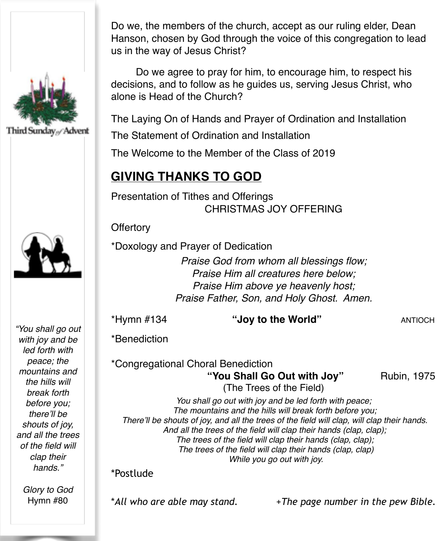





*"You shall go out with joy and be led forth with peace; the mountains and the hills will break forth before you; there'll be shouts of joy, and all the trees of the field will clap their hands."*

> *Glory to God*  Hymn #80

Do we, the members of the church, accept as our ruling elder, Dean Hanson, chosen by God through the voice of this congregation to lead us in the way of Jesus Christ?

Do we agree to pray for him, to encourage him, to respect his decisions, and to follow as he quides us, serving Jesus Christ. who alone is Head of the Church?

The Laying On of Hands and Prayer of Ordination and Installation

The Statement of Ordination and Installation

The Welcome to the Member of the Class of 2019

### **GIVING THANKS TO GOD**

Presentation of Tithes and Offerings CHRISTMAS JOY OFFERING

**Offertory** 

\*Doxology and Prayer of Dedication

*Praise God from whom all blessings flow; Praise Him all creatures here below; Praise Him above ye heavenly host; Praise Father, Son, and Holy Ghost. Amen.*

\*Hymn #134 **"Joy to the World"** ANTIOCH

\*Benediction

\*Congregational Choral Benediction "You Shall Go Out with Joy" Rubin, 1975 (The Trees of the Field)

*You shall go out with joy and be led forth with peace; The mountains and the hills will break forth before you; There'll be shouts of joy, and all the trees of the field will clap, will clap their hands. And all the trees of the field will clap their hands (clap, clap); The trees of the field will clap their hands (clap, clap); The trees of the field will clap their hands (clap, clap) While you go out with joy.*

#### \*Postlude

\**All who are able may stand.* +*The page number in the pew Bible.*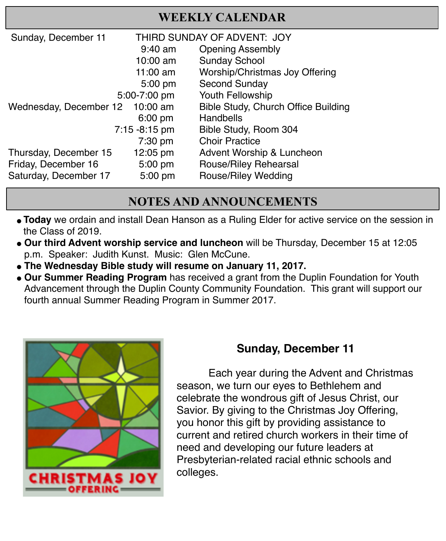| Sunday, December 11    | THIRD SUNDAY OF ADVENT: JOY |                                     |
|------------------------|-----------------------------|-------------------------------------|
|                        | $9:40$ am                   | <b>Opening Assembly</b>             |
|                        | $10:00$ am                  | <b>Sunday School</b>                |
|                        | 11:00 am                    | Worship/Christmas Joy Offering      |
|                        | 5:00 pm                     | Second Sunday                       |
|                        | 5:00-7:00 pm                | Youth Fellowship                    |
| Wednesday, December 12 | 10:00 am                    | Bible Study, Church Office Building |
|                        | $6:00$ pm                   | Handbells                           |
| $7:15 - 8:15$ pm       |                             | Bible Study, Room 304               |
|                        | 7:30 pm                     | <b>Choir Practice</b>               |
| Thursday, December 15  | 12:05 pm                    | Advent Worship & Luncheon           |
| Friday, December 16    | 5:00 pm                     | Rouse/Riley Rehearsal               |
| Saturday, December 17  | 5:00 pm                     | Rouse/Riley Wedding                 |

#### **NOTES AND ANNOUNCEMENTS**

- "**Today** we ordain and install Dean Hanson as a Ruling Elder for active service on the session in the Class of 2019.
- **. Our third Advent worship service and luncheon** will be Thursday, December 15 at 12:05 p.m. Speaker: Judith Kunst. Music: Glen McCune.
- **" The Wednesday Bible study will resume on January 11, 2017.**
- **. Our Summer Reading Program** has received a grant from the Duplin Foundation for Youth Advancement through the Duplin County Community Foundation. This grant will support our fourth annual Summer Reading Program in Summer 2017.



### **Sunday, December 11**

Each year during the Advent and Christmas season, we turn our eyes to Bethlehem and celebrate the wondrous gift of Jesus Christ, our Savior. By giving to the Christmas Joy Offering, you honor this gift by providing assistance to current and retired church workers in their time of need and developing our future leaders at Presbyterian-related racial ethnic schools and colleges.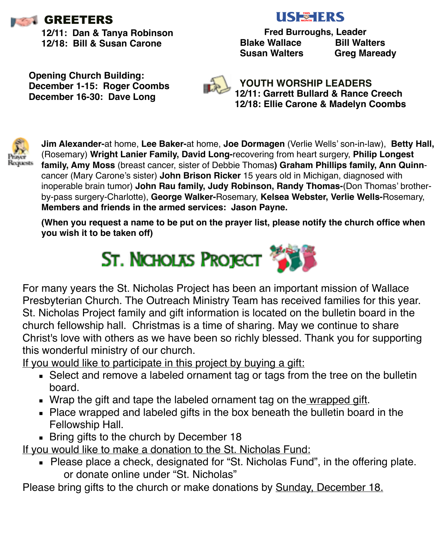

**12/11: Dan & Tanya Robinson 12/18: Bill & Susan Carone**

# **USEHERS**

 **Fred Burroughs, Leader Blake Wallace Bill Walters Susan Walters Greg Maready** 

**Opening Church Building: December 1-15: Roger Coombs December 16-30: Dave Long**



 **YOUTH WORSHIP LEADERS 12/11: Garrett Bullard & Rance Creech 12/18: Ellie Carone & Madelyn Coombs**



**Jim Alexander-**at home, **Lee Baker-**at home, **Joe Dormagen** (Verlie Wells' son-in-law), **Betty Hall,**  (Rosemary) **Wright Lanier Family, David Long-**recovering from heart surgery, **Philip Longest family, Amy Moss** (breast cancer, sister of Debbie Thomas**) Graham Phillips family, Ann Quinn**cancer (Mary Carone's sister) **John Brison Ricker** 15 years old in Michigan, diagnosed with inoperable brain tumor) **John Rau family, Judy Robinson, Randy Thomas-**(Don Thomas' brotherby-pass surgery-Charlotte), **George Walker-**Rosemary, **Kelsea Webster, Verlie Wells-**Rosemary, **Members and friends in the armed services: Jason Payne.** 

**(When you request a name to be put on the prayer list, please notify the church office when you wish it to be taken off)**



For many years the St. Nicholas Project has been an important mission of Wallace Presbyterian Church. The Outreach Ministry Team has received families for this year. St. Nicholas Project family and gift information is located on the bulletin board in the church fellowship hall. Christmas is a time of sharing. May we continue to share Christ's love with others as we have been so richly blessed. Thank you for supporting this wonderful ministry of our church.

If you would like to participate in this project by buying a gift:

- Select and remove a labeled ornament tag or tags from the tree on the bulletin board.
- . Wrap the gift and tape the labeled ornament tag on the wrapped gift.
- Place wrapped and labeled gifts in the box beneath the bulletin board in the Fellowship Hall.
- **Example 18 Bring gifts to the church by December 18**

If you would like to make a donation to the St. Nicholas Fund:

■ Please place a check, designated for "St. Nicholas Fund", in the offering plate. or donate online under "St. Nicholas"

Please bring gifts to the church or make donations by Sunday, December 18.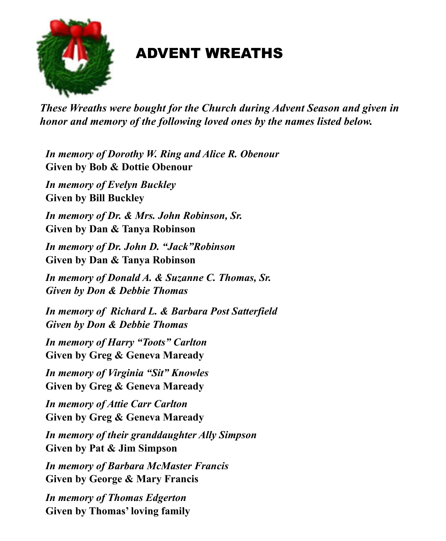

# ADVENT WREATHS

*These Wreaths were bought for the Church during Advent Season and given in honor and memory of the following loved ones by the names listed below.*

*In memory of Dorothy W. Ring and Alice R. Obenour*  **Given by Bob & Dottie Obenour** 

*In memory of Evelyn Buckley*  **Given by Bill Buckley** 

*In memory of Dr. & Mrs. John Robinson, Sr.*  **Given by Dan & Tanya Robinson** 

*In memory of Dr. John D. "Jack"Robinson* **Given by Dan & Tanya Robinson** 

*In memory of Donald A. & Suzanne C. Thomas, Sr. Given by Don & Debbie Thomas* 

*In memory of Richard L. & Barbara Post Satterfield Given by Don & Debbie Thomas* 

*In memory of Harry "Toots" Carlton*  **Given by Greg & Geneva Maready**

*In memory of Virginia "Sit" Knowles*  **Given by Greg & Geneva Maready**

*In memory of Attie Carr Carlton*  **Given by Greg & Geneva Maready** 

*In memory of their granddaughter Ally Simpson*  **Given by Pat & Jim Simpson** 

*In memory of Barbara McMaster Francis*  **Given by George & Mary Francis** 

*In memory of Thomas Edgerton*  **Given by Thomas' loving family**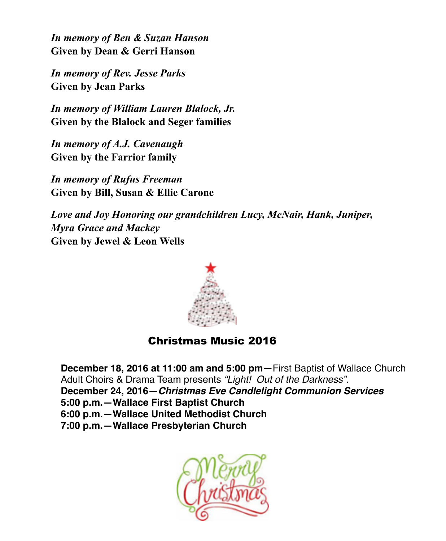*In memory of Ben & Suzan Hanson*  **Given by Dean & Gerri Hanson** 

*In memory of Rev. Jesse Parks* **Given by Jean Parks** 

*In memory of William Lauren Blalock, Jr.*  **Given by the Blalock and Seger families** 

*In memory of A.J. Cavenaugh*  **Given by the Farrior family** 

*In memory of Rufus Freeman*  **Given by Bill, Susan & Ellie Carone** 

*Love and Joy Honoring our grandchildren Lucy, McNair, Hank, Juniper, Myra Grace and Mackey*  **Given by Jewel & Leon Wells**



#### Christmas Music 2016

**December 18, 2016 at 11:00 am and 5:00 pm—**First Baptist of Wallace Church Adult Choirs & Drama Team presents *"Light! Out of the Darkness"*. **December 24, 2016—***Christmas Eve Candlelight Communion Services* **5:00 p.m.—Wallace First Baptist Church 6:00 p.m.—Wallace United Methodist Church 7:00 p.m.—Wallace Presbyterian Church**